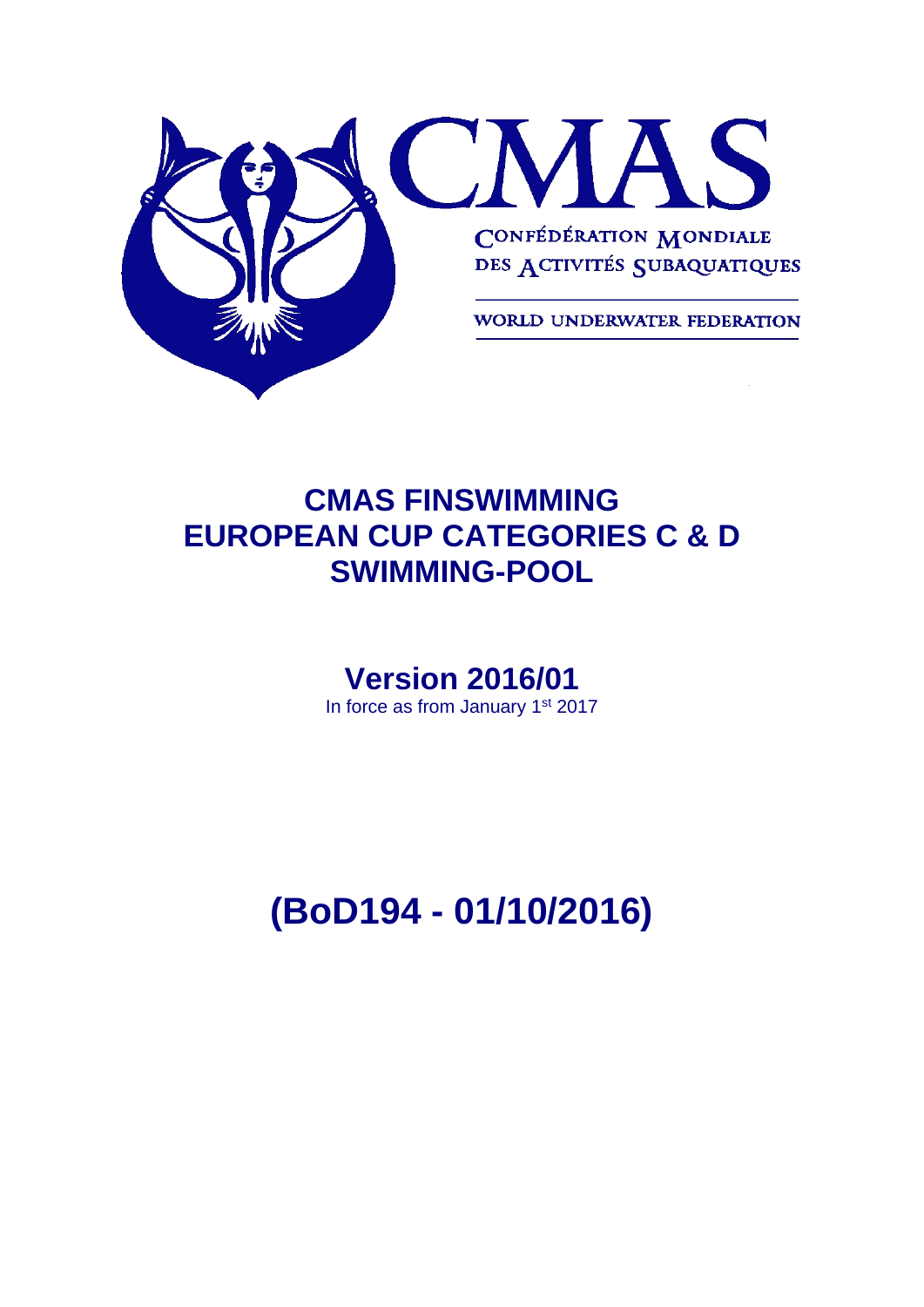

# **CMAS FINSWIMMING EUROPEAN CUP CATEGORIES C & D SWIMMING-POOL**

# **Version 2016/01**

In force as from January 1<sup>st</sup> 2017

**(BoD194 - 01/10/2016)**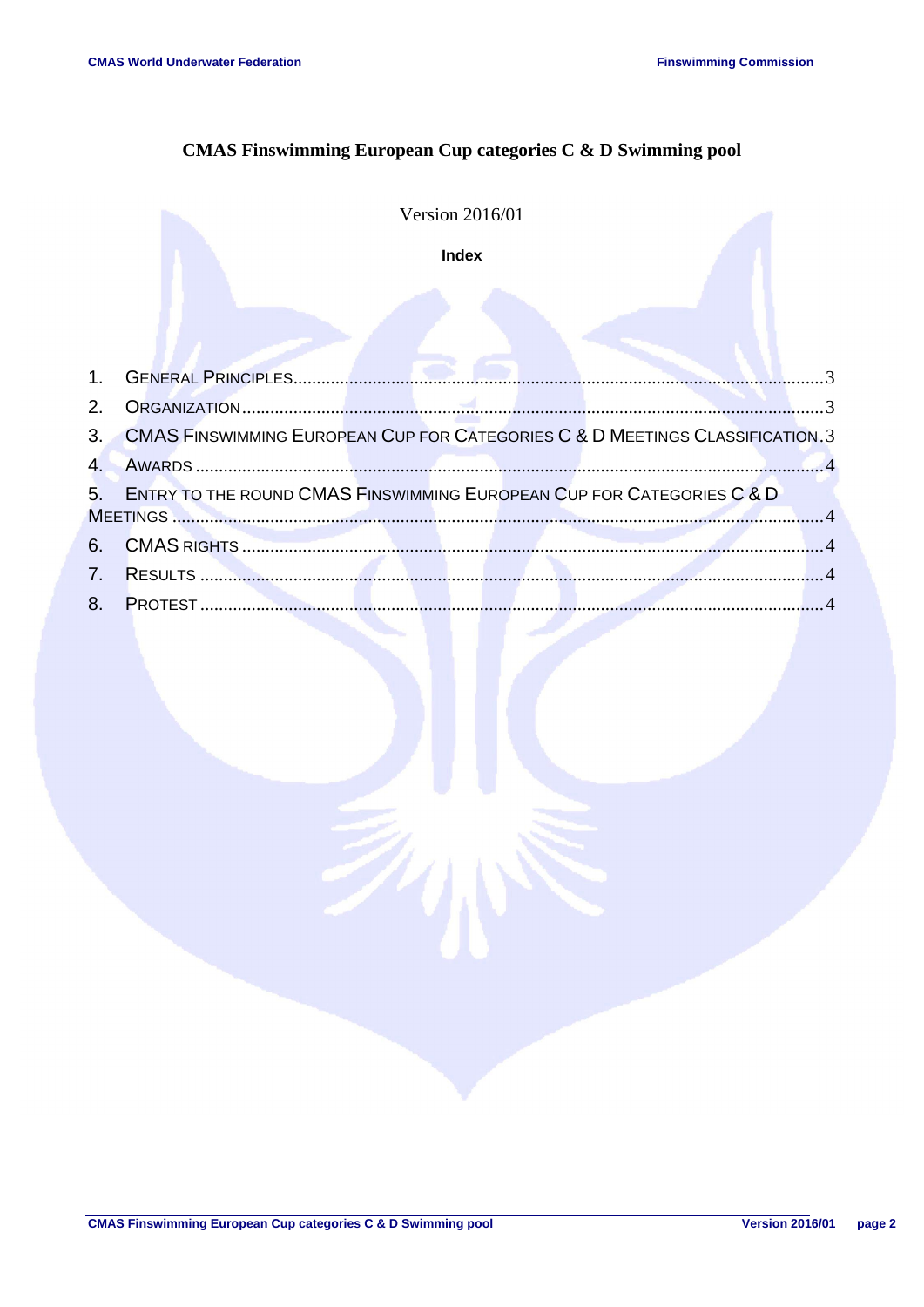# **CMAS Finswimming European Cup categories C & D Swimming pool**

**Version 2016/01** 

Index

| 3. CMAS FINSWIMMING EUROPEAN CUP FOR CATEGORIES C & D MEETINGS CLASSIFICATION. 3 |  |
|----------------------------------------------------------------------------------|--|
|                                                                                  |  |
| 5. ENTRY TO THE ROUND CMAS FINSWIMMING EUROPEAN CUP FOR CATEGORIES C & D         |  |
|                                                                                  |  |
|                                                                                  |  |
|                                                                                  |  |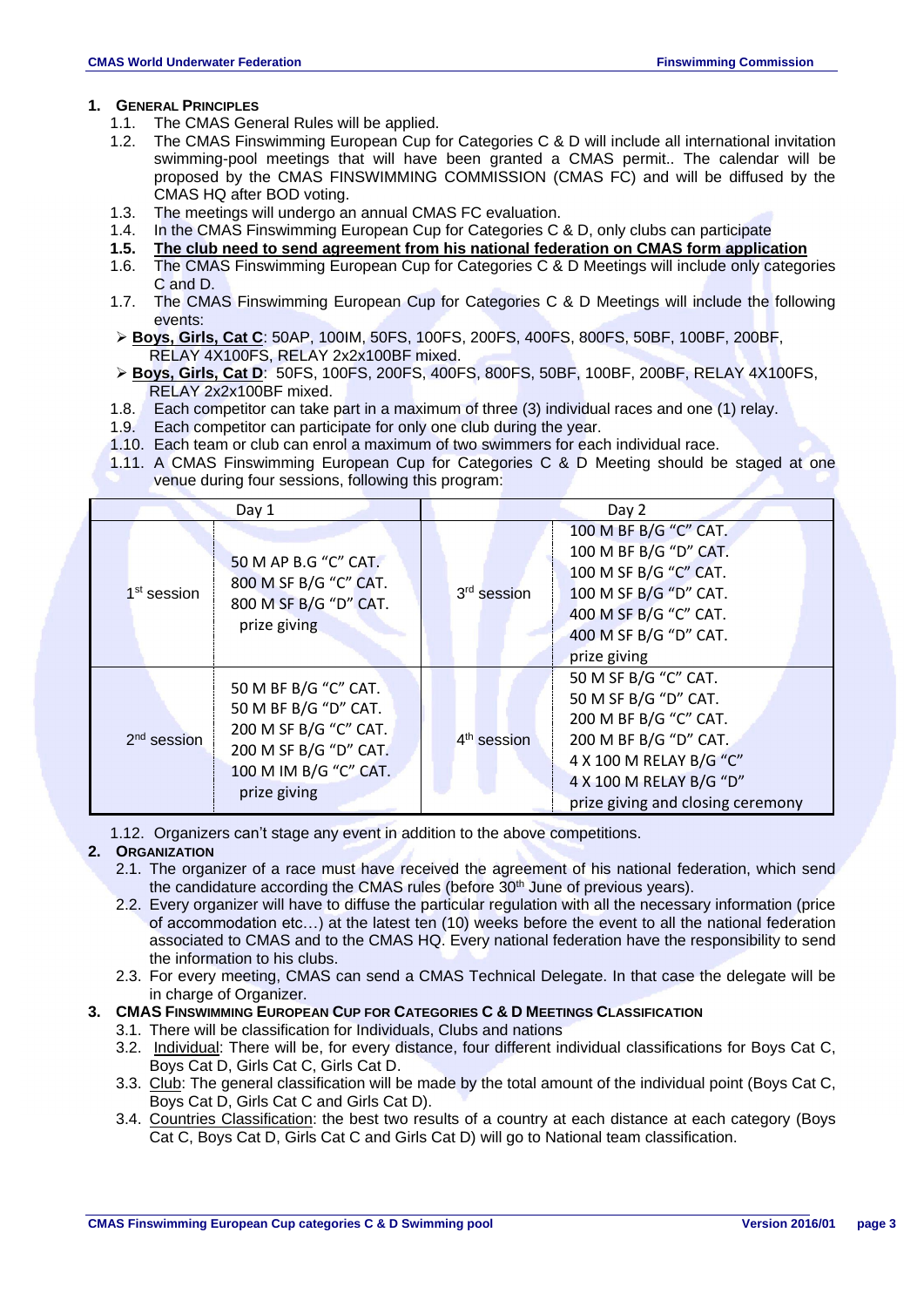#### <span id="page-2-0"></span>**1. GENERAL PRINCIPLES**

- 1.1. The CMAS General Rules will be applied.
- 1.2. The CMAS Finswimming European Cup for Categories C & D will include all international invitation swimming-pool meetings that will have been granted a CMAS permit.. The calendar will be proposed by the CMAS FINSWIMMING COMMISSION (CMAS FC) and will be diffused by the CMAS HQ after BOD voting.
- 1.3. The meetings will undergo an annual CMAS FC evaluation.
- 1.4. In the CMAS Finswimming European Cup for Categories C & D, only clubs can participate
- **1.5. The club need to send agreement from his national federation on CMAS form application**
- 1.6. The CMAS Finswimming European Cup for Categories C & D Meetings will include only categories C and D.
- 1.7. The CMAS Finswimming European Cup for Categories C & D Meetings will include the following events:
- **Boys, Girls, Cat C**: 50AP, 100IM, 50FS, 100FS, 200FS, 400FS, 800FS, 50BF, 100BF, 200BF, RELAY 4X100FS, RELAY 2x2x100BF mixed.
- **Boys, Girls, Cat D**: 50FS, 100FS, 200FS, 400FS, 800FS, 50BF, 100BF, 200BF, RELAY 4X100FS, RELAY 2x2x100BF mixed.
- 1.8. Each competitor can take part in a maximum of three (3) individual races and one (1) relay.
- 1.9. Each competitor can participate for only one club during the year.
- 1.10. Each team or club can enrol a maximum of two swimmers for each individual race.
- 1.11. A CMAS Finswimming European Cup for Categories C & D Meeting should be staged at one venue during four sessions, following this program:

|                                                                                                                                                          | Day 1                                                                                  | Day 2                   |                                                                                                                                                                                           |  |
|----------------------------------------------------------------------------------------------------------------------------------------------------------|----------------------------------------------------------------------------------------|-------------------------|-------------------------------------------------------------------------------------------------------------------------------------------------------------------------------------------|--|
| 1 <sup>st</sup> session                                                                                                                                  | 50 M AP B.G "C" CAT.<br>800 M SF B/G "C" CAT.<br>800 M SF B/G "D" CAT.<br>prize giving | 3rd session             | 100 M BF B/G "C" CAT.<br>100 M BF B/G "D" CAT.<br>100 M SF B/G "C" CAT.<br>100 M SF B/G "D" CAT.<br>400 M SF B/G "C" CAT.<br>400 M SF B/G "D" CAT.<br>prize giving                        |  |
| 50 M BF B/G "C" CAT.<br>50 M BF B/G "D" CAT.<br>200 M SF B/G "C" CAT.<br>$2nd$ session<br>200 M SF B/G "D" CAT.<br>100 M IM B/G "C" CAT.<br>prize giving |                                                                                        | 4 <sup>th</sup> session | 50 M SF B/G "C" CAT.<br>50 M SF B/G "D" CAT.<br>200 M BF B/G "C" CAT.<br>200 M BF B/G "D" CAT.<br>4 X 100 M RELAY B/G "C"<br>4 X 100 M RELAY B/G "D"<br>prize giving and closing ceremony |  |

1.12. Organizers can't stage any event in addition to the above competitions.

#### <span id="page-2-1"></span>**2. ORGANIZATION**

- 2.1. The organizer of a race must have received the agreement of his national federation, which send the candidature according the CMAS rules (before  $30<sup>th</sup>$  June of previous years).
- 2.2. Every organizer will have to diffuse the particular regulation with all the necessary information (price of accommodation etc…) at the latest ten (10) weeks before the event to all the national federation associated to CMAS and to the CMAS HQ. Every national federation have the responsibility to send the information to his clubs.
- 2.3. For every meeting, CMAS can send a CMAS Technical Delegate. In that case the delegate will be in charge of Organizer.

### <span id="page-2-2"></span>**3. CMAS FINSWIMMING EUROPEAN CUP FOR CATEGORIES C & D MEETINGS CLASSIFICATION**

- 3.1. There will be classification for Individuals, Clubs and nations
- 3.2. Individual: There will be, for every distance, four different individual classifications for Boys Cat C, Boys Cat D, Girls Cat C, Girls Cat D.
- 3.3. Club: The general classification will be made by the total amount of the individual point (Boys Cat C, Boys Cat D, Girls Cat C and Girls Cat D).
- 3.4. Countries Classification: the best two results of a country at each distance at each category (Boys Cat C, Boys Cat D, Girls Cat C and Girls Cat D) will go to National team classification.